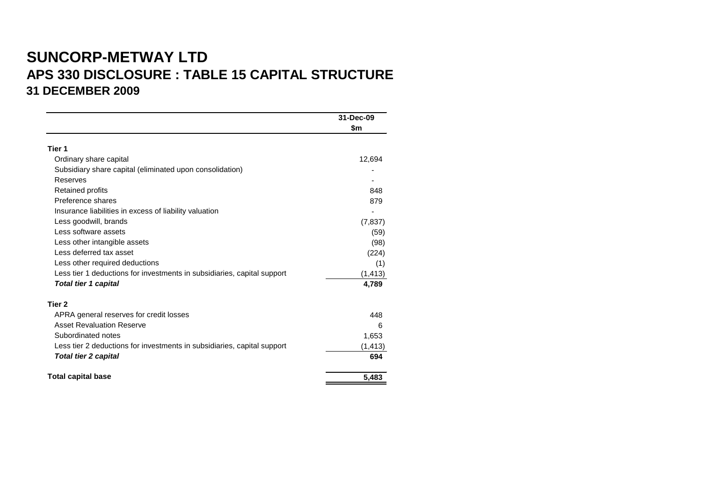# **SUNCORP-METWAY LTD APS 330 DISCLOSURE : TABLE 15 CAPITAL STRUCTURE 31 DECEMBER 2009**

|                                                                         | 31-Dec-09<br>\$m |
|-------------------------------------------------------------------------|------------------|
|                                                                         |                  |
| Tier 1                                                                  |                  |
| Ordinary share capital                                                  | 12,694           |
| Subsidiary share capital (eliminated upon consolidation)                |                  |
| Reserves                                                                |                  |
| Retained profits                                                        | 848              |
| Preference shares                                                       | 879              |
| Insurance liabilities in excess of liability valuation                  |                  |
| Less goodwill, brands                                                   | (7, 837)         |
| Less software assets                                                    | (59)             |
| Less other intangible assets                                            | (98)             |
| Less deferred tax asset                                                 | (224)            |
| Less other required deductions                                          | (1)              |
| Less tier 1 deductions for investments in subsidiaries, capital support | (1, 413)         |
| <b>Total tier 1 capital</b>                                             | 4,789            |
| Tier 2                                                                  |                  |
| APRA general reserves for credit losses                                 | 448              |
| <b>Asset Revaluation Reserve</b>                                        | 6                |
| Subordinated notes                                                      | 1,653            |
| Less tier 2 deductions for investments in subsidiaries, capital support | (1, 413)         |
| <b>Total tier 2 capital</b>                                             | 694              |
| <b>Total capital base</b>                                               | 5,483            |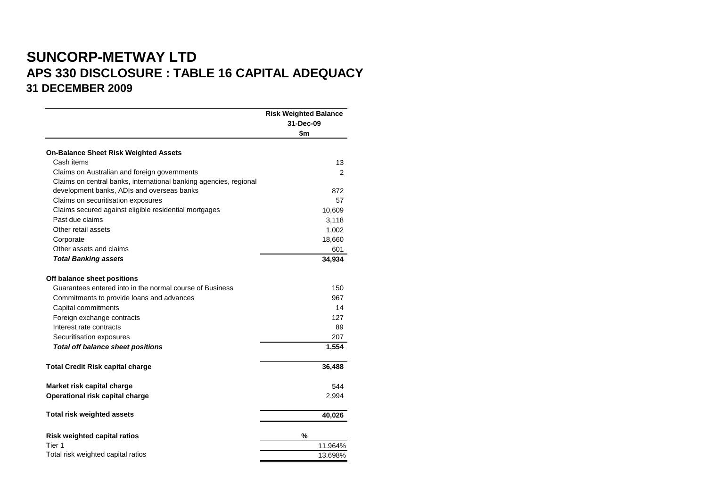## **SUNCORP-METWAY LTD APS 330 DISCLOSURE : TABLE 16 CAPITAL ADEQUACY 31 DECEMBER 2009**

|                                                                   | <b>Risk Weighted Balance</b><br>31-Dec-09<br>\$m |
|-------------------------------------------------------------------|--------------------------------------------------|
|                                                                   |                                                  |
| <b>On-Balance Sheet Risk Weighted Assets</b>                      |                                                  |
| Cash items                                                        | 13                                               |
| Claims on Australian and foreign governments                      | $\overline{2}$                                   |
| Claims on central banks, international banking agencies, regional |                                                  |
| development banks, ADIs and overseas banks                        | 872                                              |
| Claims on securitisation exposures                                | 57                                               |
| Claims secured against eligible residential mortgages             | 10,609                                           |
| Past due claims                                                   | 3,118                                            |
| Other retail assets                                               | 1,002                                            |
| Corporate                                                         | 18,660                                           |
| Other assets and claims                                           | 601                                              |
| <b>Total Banking assets</b>                                       | 34,934                                           |
| Off balance sheet positions                                       |                                                  |
| Guarantees entered into in the normal course of Business          | 150                                              |
| Commitments to provide loans and advances                         | 967                                              |
| Capital commitments                                               | 14                                               |
| Foreign exchange contracts                                        | 127                                              |
| Interest rate contracts                                           | 89                                               |
| Securitisation exposures                                          | 207                                              |
| <b>Total off balance sheet positions</b>                          | 1,554                                            |
| <b>Total Credit Risk capital charge</b>                           | 36,488                                           |
| Market risk capital charge                                        | 544                                              |
| Operational risk capital charge                                   | 2,994                                            |
| <b>Total risk weighted assets</b>                                 | 40,026                                           |
| <b>Risk weighted capital ratios</b>                               | %                                                |
| Tier 1                                                            | 11.964%                                          |
| Total risk weighted capital ratios                                | 13.698%                                          |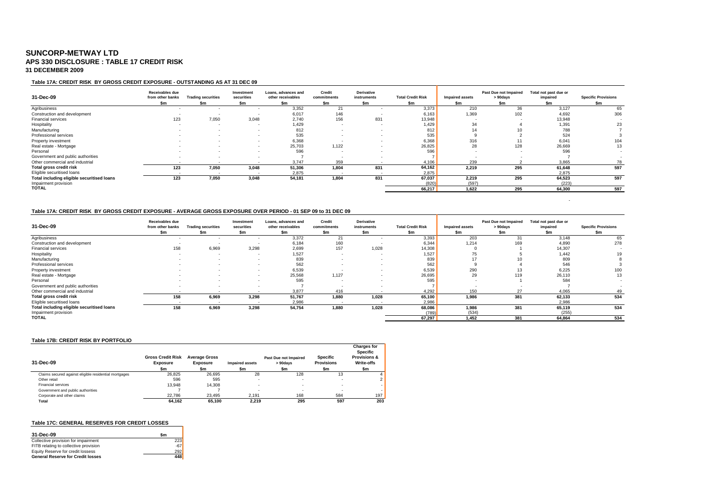### **SUNCORP-METWAY LTD APS 330 DISCLOSURE : TABLE 17 CREDIT RISK 31 DECEMBER 2009**

#### **Table 17A: CREDIT RISK BY GROSS CREDIT EXPOSURE - OUTSTANDING AS AT 31 DEC 09**

| 31-Dec-09                                  | Receivables due<br>from other banks | <b>Trading securities</b> | Investment<br>securities | Loans, advances and<br>other receivables | Credit<br>commitments | Derivative<br>instruments | <b>Total Credit Risk</b> | <b>Impaired assets</b> | Past Due not Impaired<br>> 90days | Total not past due or<br>impaired | <b>Specific Provisions</b> |
|--------------------------------------------|-------------------------------------|---------------------------|--------------------------|------------------------------------------|-----------------------|---------------------------|--------------------------|------------------------|-----------------------------------|-----------------------------------|----------------------------|
|                                            | \$m                                 | \$m                       | \$m                      | \$m                                      | \$m                   | \$m                       | \$m                      | \$m                    | \$m                               | \$m                               | \$m                        |
| Agribusiness                               |                                     |                           |                          | 3,352                                    | 21                    |                           | 3,373                    | 210                    | 36                                | 3,127                             | 65                         |
| Construction and development               |                                     |                           |                          | 6,017                                    | 146                   |                           | 6,163                    | 1,369                  | 102                               | 4,692                             | 306                        |
| Financial services                         | 123                                 | 7,050                     | 3,048                    | 2,740                                    | 156                   | 831                       | 13,948                   |                        |                                   | 13,948                            |                            |
| Hospitality                                |                                     |                           |                          | 1,429                                    |                       |                           | 1,429                    | 34                     |                                   | 1,391                             | 23                         |
| Manufacturing                              |                                     |                           |                          | 812                                      |                       |                           | 812                      | 14                     |                                   | 788                               |                            |
| Professional services                      |                                     |                           |                          | 535                                      |                       |                           | 535                      |                        |                                   | 524                               |                            |
| Property investment                        |                                     |                           | . .                      | 6,368                                    |                       |                           | 6,368                    | 316                    |                                   | 6,041                             | 104                        |
| Real estate - Mortgage                     |                                     |                           |                          | 25,703                                   | 1,122                 |                           | 26,825                   | 28                     | 128                               | 26,669                            | 13                         |
| Personal                                   |                                     |                           |                          | 596                                      |                       |                           | 596                      |                        |                                   | 596                               |                            |
| Government and public authorities          |                                     |                           |                          |                                          |                       |                           |                          |                        |                                   |                                   |                            |
| Other commercial and industrial            |                                     |                           |                          | 3.747                                    | 359                   |                           | 4,106                    | 239                    |                                   | 3.865                             | 78                         |
| Total gross credit risk                    | 123                                 | 7,050                     | 3,048                    | 51,306                                   | 1,804                 | 831                       | 64,162                   | 2.219                  | 295                               | 61,648                            | 597                        |
| Eligible securitised loans                 |                                     |                           |                          | 2,875                                    |                       |                           | 2,875                    |                        |                                   | 2.875                             |                            |
| Total including eligible securitised loans | 123                                 | 7,050                     | 3,048                    | 54,181                                   | 1,804                 | 831                       | 67,037                   | 2.219                  | 295                               | 64.523                            | 597                        |
| Impairment provision                       |                                     |                           |                          |                                          |                       |                           | (820)                    | (597)                  |                                   | (223)                             |                            |
| <b>TOTAL</b>                               |                                     |                           |                          |                                          |                       |                           | 66,217                   | 1,622                  | 295                               | 64,300                            | 597                        |

- 1990 - 1990 - 1990 - 1991 - 1991 - 1992

#### **Table 17A: CREDIT RISK BY GROSS CREDIT EXPOSURE - AVERAGE GROSS EXPOSURE OVER PERIOD - 01 SEP 09 to 31 DEC 09**

| 31-Dec-09                                  | Receivables due<br>from other banks | <b>Trading securities</b> | Investment<br>securities | Loans, advances and<br>other receivables | Credit<br>commitments | Derivative<br>instruments | <b>Total Credit Risk</b> | Impaired assets | Past Due not Impaired<br>> 90days | Total not past due or<br>impaired | <b>Specific Provisions</b> |
|--------------------------------------------|-------------------------------------|---------------------------|--------------------------|------------------------------------------|-----------------------|---------------------------|--------------------------|-----------------|-----------------------------------|-----------------------------------|----------------------------|
|                                            | \$m                                 | Sm                        | \$m                      | \$m                                      | \$m                   | \$m                       | \$m                      | \$m             | \$m                               | \$m                               | \$m                        |
| Agribusiness                               |                                     |                           |                          | 3,372                                    | 21                    |                           | 3,393                    | 203             | 31                                | 3,148                             | 65                         |
| Construction and development               |                                     |                           |                          | 6,184                                    | 160                   |                           | 6,344                    | 1,214           | 169                               | 4,890                             | 278                        |
| <b>Financial services</b>                  | 158                                 | 6,969                     | 3,298                    | 2,699                                    | 157                   | 1,028                     | 14,308                   |                 |                                   | 14,307                            |                            |
| Hospitality                                |                                     |                           |                          | 1,527                                    |                       |                           | 1,527                    | 75              |                                   | 1.442                             | 19                         |
| Manufacturing                              |                                     |                           |                          | 839                                      |                       |                           | 839                      |                 |                                   | 809                               |                            |
| Professional services                      |                                     |                           |                          | 562                                      | <b>.</b>              |                           | 562                      |                 |                                   | 546                               |                            |
| Property investment                        |                                     |                           |                          | 6,539                                    |                       |                           | 6,539                    | 290             |                                   | 6,225                             | 100                        |
| Real estate - Mortgage                     |                                     |                           |                          | 25,568                                   | 1,127                 |                           | 26,695                   | 29              | 119                               | 26,110                            | 13                         |
| Personal                                   |                                     |                           |                          | 595                                      |                       |                           | 595                      |                 |                                   | 584                               |                            |
| Government and public authorities          |                                     |                           |                          |                                          |                       |                           |                          |                 |                                   |                                   |                            |
| Other commercial and industrial            |                                     |                           |                          | 3.877                                    | 416                   |                           | 4,292                    | 150             | 27                                | 4.065                             |                            |
| Total gross credit risk                    | 158                                 | 6.969                     | 3,298                    | 51,767                                   | 1,880                 | 1,028                     | 65,100                   | 1.986           | 381                               | 62,133                            | 534                        |
| Eligible securitised loans                 |                                     |                           |                          | 2.986                                    | . .                   | $\overline{\phantom{a}}$  | 2.986                    |                 |                                   | 2.986                             |                            |
| Total including eligible securitised loans | 158                                 | 6,969                     | 3,298                    | 54,754                                   | 1,880                 | 1,028                     | 68,086                   | 1,986           | 381                               | 65,119                            | 534                        |
| Impairment provision                       |                                     |                           |                          |                                          |                       |                           | (789)                    | (534)           |                                   | (255)                             |                            |
| <b>TOTAL</b>                               |                                     |                           |                          |                                          |                       |                           | 67,297                   | 1.452           | 381                               | 64,864                            | 534                        |

#### **Table 17B: CREDIT RISK BY PORTFOLIO**

| 31-Dec-09                                             | <b>Gross Credit Risk</b><br><b>Exposure</b><br>\$m | <b>Average Gross</b><br><b>Exposure</b><br>\$m | <b>Impaired assets</b><br>\$m | Past Due not Impaired<br>> 90 days<br>\$m | <b>Specific</b><br><b>Provisions</b><br>\$m | <b>Charges for</b><br><b>Specific</b><br><b>Provisions &amp;</b><br>Write-offs<br>\$m |
|-------------------------------------------------------|----------------------------------------------------|------------------------------------------------|-------------------------------|-------------------------------------------|---------------------------------------------|---------------------------------------------------------------------------------------|
| Claims secured against eligible residential mortgages | 26.825                                             | 26.695                                         | 28                            | 128                                       | 13                                          |                                                                                       |
| Other retail                                          | 596                                                | 595                                            |                               |                                           |                                             |                                                                                       |
| <b>Financial services</b>                             | 13.948                                             | 14.308                                         |                               |                                           |                                             |                                                                                       |
| Government and public authorities                     |                                                    |                                                |                               |                                           |                                             |                                                                                       |
| Corporate and other claims                            | 22.786                                             | 23.495                                         | 2.191                         | 168                                       | 584                                         | 197                                                                                   |
| Total                                                 | 64.162                                             | 65.100                                         | 2.219                         | 295                                       | 597                                         | 203                                                                                   |

#### **Table 17C: GENERAL RESERVES FOR CREDIT LOSSES**

| 31-Dec-09                                | Sm    |
|------------------------------------------|-------|
| Collective provision for impairment      | 223   |
| FITB relating to collective provision    | $-67$ |
| Equity Reserve for credit lossess        | 292   |
| <b>General Reserve for Credit losses</b> | 448   |